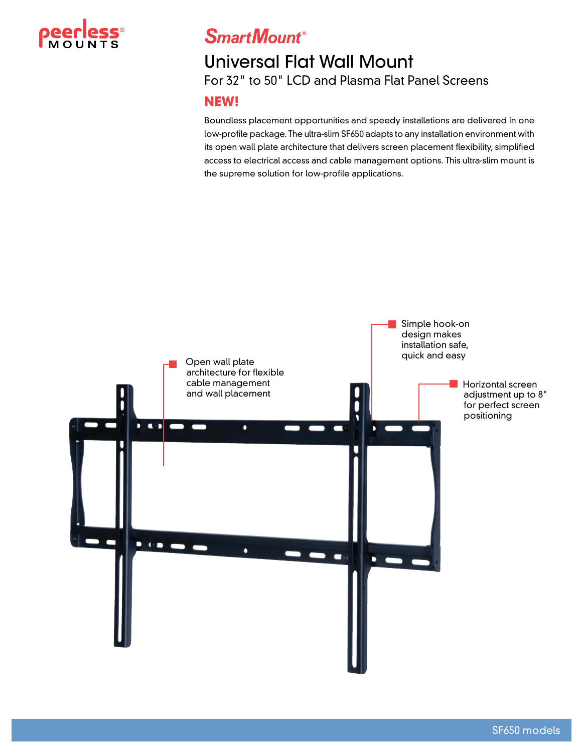

## **SmartMount**®

### Universal Flat Wall Mount For 32" to 50" LCD and Plasma Flat Panel Screens

### **NEW!**

Boundless placement opportunities and speedy installations are delivered in one low-profile package. The ultra-slim SF650 adapts to any installation environment with its open wall plate architecture that delivers screen placement flexibility, simplified access to electrical access and cable management options. This ultra-slim mount is the supreme solution for low-profile applications.